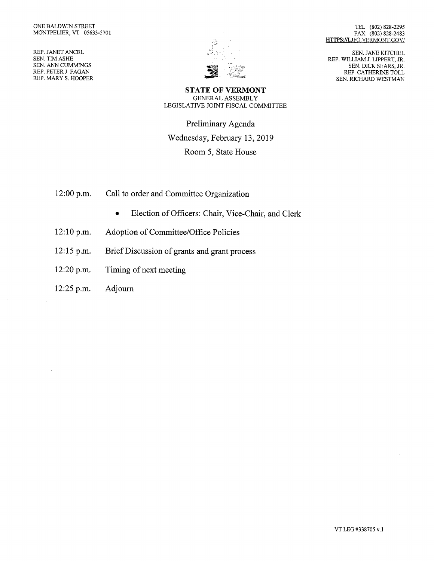REP. JANET ANCEL SEN. TIM ASHE SEN. ANN CUMMINGS REP. PETER J. FAGAN REP. MARY S. HOOPER



TEL: (802) 828-2295 FAX: (802) 828-2483 HTTPS://LJFO.VERMONT.GOV/

SEN. JANE KITCHEL REP. WILLIAM J. LIPPERT, JR. SEN. DICK SEARS, JR. REP. CATHERINE TOLL SEN. RICHARD WESTMAN

STATE OF VERMONT GENERAL ASSEMBLY LEGISLATIVE JOINT FISCAL COMMITTEE

Preliminary Agenda Wednesday, February 13, 2019 Room 5, State House

- 12:00 p.m. Call to order and Committee Organization
	- Election of Officers: Chair, Vice-Chair, and Clerk
- 12:10 p.m. Adoption of Committee/Office Policies
- 12:15 p.m. Brief Discussion of grants and grant process
- 12:20 p.m. Timing of next meeting
- 12:25 p.m. Adjourn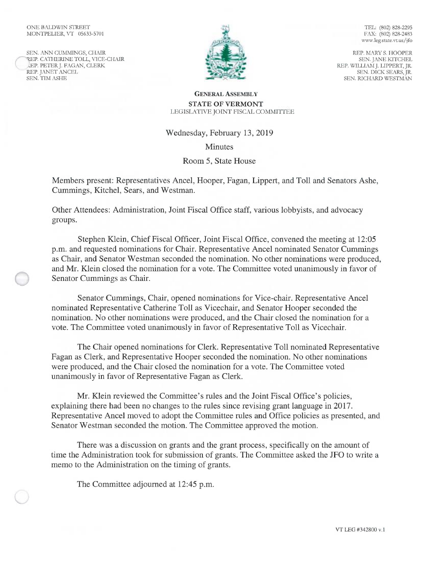#### ONE BALDWIN STREET MONTPELIER, VT 05633-5701

SEN. ANN CUMMINGS, CHAIR REP. CATHERINE TOLL, VICE-CHAIR P. PETER J. FAGAN, CLERK REP. JANET ANCEL SEN. TIM ASHE



TEL: (802) 828-2295 FAX: (802) 828-2483 www.leg.state.vt.us/jfo

REP. MARY S. HOOPER SEN. JANE KITCHEL REP. WILLIAM J. LIPPERT, JR. SEN. DICK SEARS, JR. SEN. RICHARD WESTMAN

#### GENERAL ASSEMBLY STATE OF VERMONT LEGISLATIVE JOINT FISCAL COMMITTEE

#### Wednesday, February 13, 2019

Minutes

# Room 5, State House

Members present: Representatives Ancel, Hooper, Fagan, Lippert, and Toll and Senators Ashe, Cummings, Kitchel, Sears, and Westman.

Other Attendees: Administration, Joint Fiscal Office staff, various lobbyists, and advocacy groups.

Stephen Klein, Chief Fiscal Officer, Joint Fiscal Office, convened the meeting at 12:05 p.m. and requested nominations for Chair. Representative Ancel nominated Senator Cummings as Chair, and Senator Westman seconded the nomination. No other nominations were produced, and Mr. Klein closed the nomination for a vote. The Committee voted unanimously in favor of Senator Cummings as Chair.

Senator Cummings, Chair, opened nominations for Vice-chair. Representative Ancel nominated Representative Catherine Toll as Vicechair, and Senator Hooper seconded the nomination. No other nominations were produced, and the Chair closed the nomination for a vote. The Committee voted unanimously in favor of Representative Toll as Vicechair.

The Chair opened nominations for Clerk. Representative Toll nominated Representative Fagan as Clerk, and Representative Hooper seconded the nomination. No other nominations were produced, and the Chair closed the nomination for a vote. The Committee voted unanimously in favor of Representative Fagan as Clerk.

Mr. Klein reviewed the Committee's rules and the Joint Fiscal Office's policies, explaining there had been no changes to the rules since revising grant language in 2017. Representative Ancel moved to adopt the Committee rules and Office policies as presented, and Senator Westman seconded the motion. The Committee approved the motion.

There was a discussion on grants and the grant process, specifically on the amount of time the Administration took for submission of grants. The Committee asked the JFO to write a memo to the Administration on the timing of grants.

The Committee adjourned at 12:45 p.m.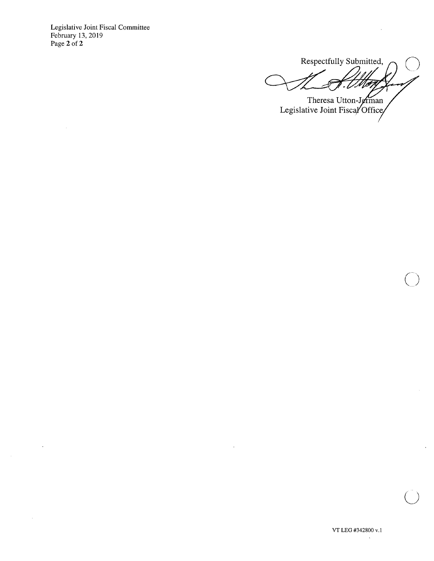Legislative Joint Fiscal Committee February 13, 2019 Page 2 of 2

 $\sim$ 

 $\cdot$ 

 $\mathcal{A}$ 

Respectfully Submitted, **40**  ر . **or-**

Legislative Joint Fisca Theresa Utton-J

 $\sim$   $\alpha$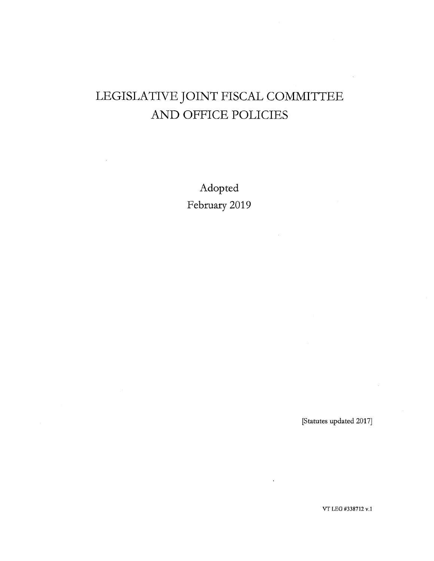# LEGISLATIVE JOINT FISCAL COMMITTEE AND OFFICE POLICIES

Adopted February 2019

[Statutes updated 2017]

VT LEG #338712 v.1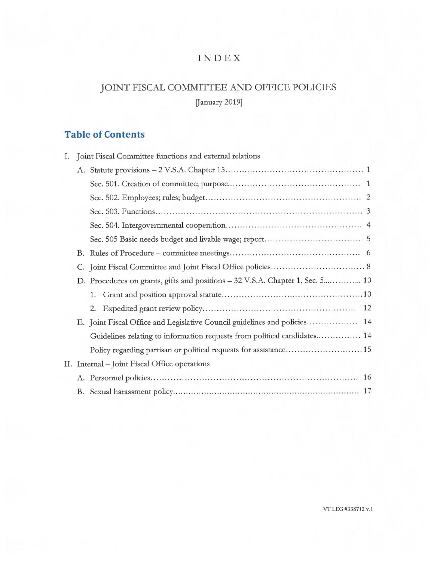# INDEX

# JOINT FISCAL COMMITTEE AND OFFICE POLICIES

January 2019]

# **Table of Contents**

| L. | Joint Fiscal Committee functions and external relations |                                                                               |  |
|----|---------------------------------------------------------|-------------------------------------------------------------------------------|--|
|    |                                                         |                                                                               |  |
|    |                                                         |                                                                               |  |
|    |                                                         |                                                                               |  |
|    |                                                         |                                                                               |  |
|    |                                                         |                                                                               |  |
|    |                                                         |                                                                               |  |
|    |                                                         |                                                                               |  |
|    |                                                         |                                                                               |  |
|    |                                                         | D. Procedures on grants, gifts and positions - 32 V.S.A. Chapter 1, Sec. 5 10 |  |
|    |                                                         | 1.                                                                            |  |
|    |                                                         |                                                                               |  |
|    |                                                         | E. Joint Fiscal Office and Legislative Council guidelines and policies 14     |  |
|    |                                                         | Guidelines relating to information requests from political candidates 14      |  |
|    |                                                         | Policy regarding partisan or political requests for assistance 15             |  |
|    | II. Internal – Joint Fiscal Office operations           |                                                                               |  |
|    |                                                         |                                                                               |  |
|    |                                                         |                                                                               |  |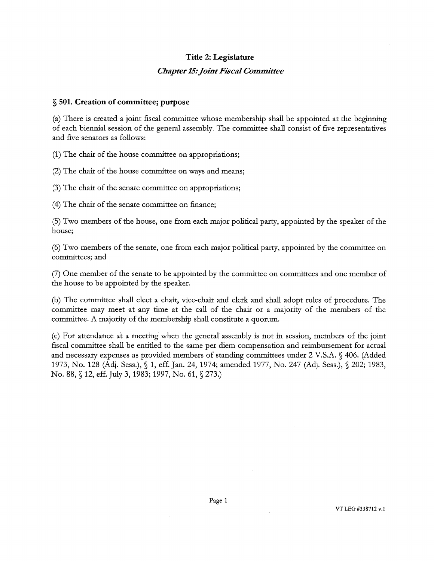# Title 2: Legislature

### *Chapter 15: Joint Fiscal Committee*

### § 501. Creation of committee; purpose

(a) There is created a joint fiscal committee whose membership shall be appointed at the beginning of each biennial session of the general assembly. The committee shall consist of five representatives and five senators as follows:

(1) The chair of the house committee on appropriations;

(2) The chair of the house committee on ways and means;

(3) The chair of the senate committee on appropriations;

(4) The chair of the senate committee on finance;

(5) Two members of the house, one from each major political party, appointed by the speaker of the house;

(6) Two members of the senate, one from each major political party, appointed by the committee on committees; and

(7) One member of the senate to be appointed by the committee on committees and one member of the house to be appointed by the speaker.

(b) The committee shall elect a chair, vice-chair and clerk and shall adopt rules of procedure. The committee may meet at any time at the call of the chair or a majority of the members of the committee. A majority of the membership shall constitute a quorum.

(c) For attendance it a meeting when the general assembly is not in session, members of the joint fiscal committee shall be entitled to the same per diem compensation and reimbursement for actual and necessary expenses as provided members of standing committees under 2 V.S.A. § 406. (Added 1973, No. 128 (Adj. Sess.), § 1, eff. Jan. 24, 1974; amended 1977, No. 247 (Adj. Sess.), § 202; 1983, No. 88, § 12, eff. July 3, 1983; 1997, No. 61, § 273.)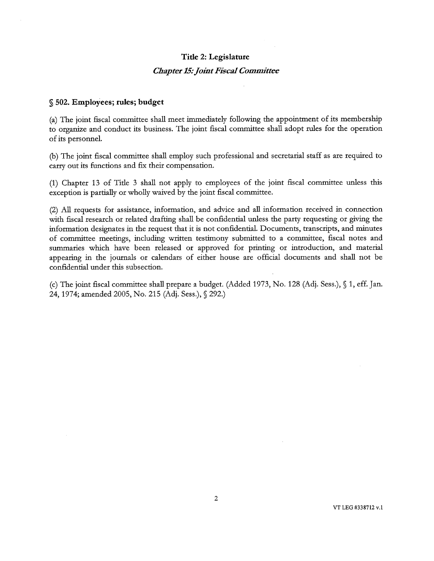#### Title 2: Legislature

#### *Chapter 15. joint Fiscal Committee*

#### § 502. Employees; rules; budget

(a) The joint fiscal committee shall meet immediately following the appointment of its membership to organize and conduct its business. The joint fiscal committee shall adopt rules for the operation of its personnel.

(b) The joint fiscal committee shall employ such professional and secretarial staff as are required to carry out its functions and fix their compensation.

(1) Chapter 13 of Title 3 shall not apply to employees of the joint fiscal committee unless this exception is partially or wholly waived by the joint fiscal committee.

(2) All requests for assistance, information, and advice and all information received in connection with fiscal research or related drafting shall be confidential unless the party requesting or giving the information designates in the request that it is not confidential. Documents, transcripts, and minutes of committee meetings, including written testimony submitted to a committee, fiscal notes and summaries which have been released or approved for printing or introduction, and material appearing in the journals or calendars of either house are official documents and shall not be confidential under this subsection.

(c) The joint fiscal committee shall prepare a budget. (Added 1973, No. 128 (Adj. Sess.), § 1, eff. Jan. 24, 1974; amended 2005, No. 215 (Adj. Sess.), § 292.)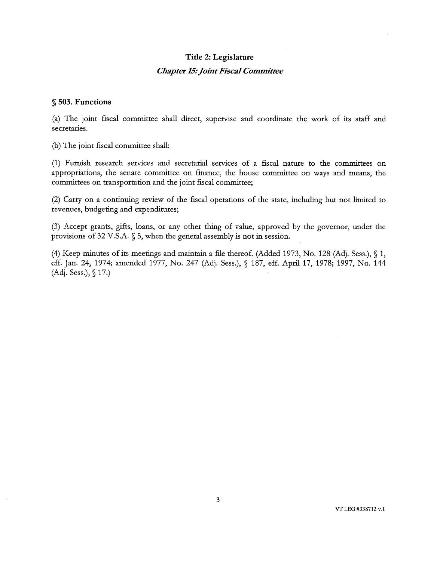# Title 2: Legislature *Chapter 15: Joint Fiscal Committee*

#### § 503. Functions

(a) The joint fiscal committee shall direct, supervise and coordinate the work of its staff and secretaries.

(b) The joint fiscal committee shall:

(1) Furnish research services and secretarial services of a fiscal nature to the committees on appropriations, the senate committee on finance, the house committee on ways and means, the committees on transportation and the joint fiscal committee;

(2) Carry on a continuing review of the fiscal operations of the state, including but not limited to revenues, budgeting and expenditures;

(3) Accept grants, gifts, loans, or any other thing of value, approved by the governor, under the provisions of 32 V.S.A.  $\S$  5, when the general assembly is not in session.

(4) Keep minutes of its meetings and maintain a file thereof. (Added 1973, No. 128 (Adj. Sess.), § 1, eff. Jan. 24, 1974; amended 1977, No. 247 (Adj. Sess.), § 187, eff. April 17, 1978; 1997, No. 144 (Adj. Sess.), § 17.)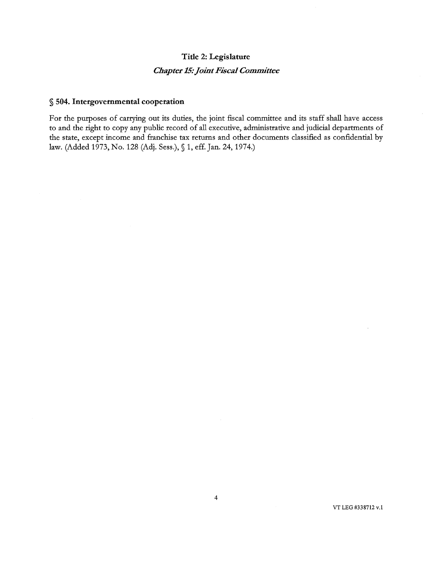# **Title 2: Legislature**  *Chapter 15: Joint Fiscal Committee*

### **§ 504. Intergovernmental cooperation**

For the purposes of carrying out its duties, the joint fiscal committee and its staff shall have access to and the right to copy any public record of all executive, administrative and judicial departments of the state, except income and franchise tax returns and other documents classified as confidential by law. (Added 1973, No. 128 (Adj. Sess.), § 1, eff. Jan. 24, 1974.)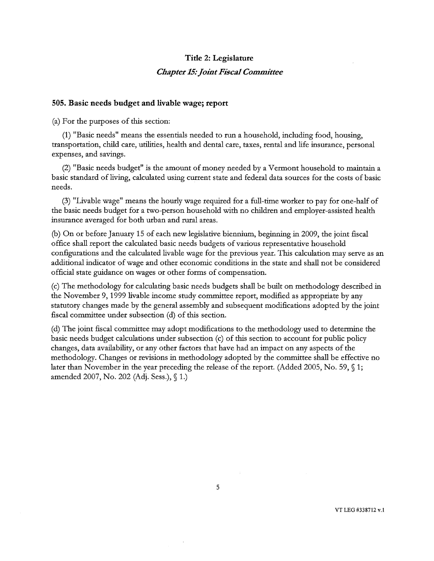### Title 2: Legislature

#### *Chapter 15: Joint Fiscal Committee*

#### 505. Basic needs budget and livable wage; report

(a) For the purposes of this section:

(1) "Basic needs" means the essentials needed to run a household, including food, housing, transportation, child care, utilities, health and dental care, taxes, rental and life insurance, personal expenses, and savings.

(2) "Basic needs budget" is the amount of money needed by a Vermont household to maintain a basic standard of living, calculated using current state and federal data sources for the costs of basic needs.

(3) "Livable wage" means the hourly wage required for a full-time worker to pay for one-half of the basic needs budget for a two-person household with no children and employer-assisted health insurance averaged for both urban and rural areas.

(b) On or before January 15 of each new legislative biennium, beginning in 2009, the joint fiscal office shall report the calculated basic needs budgets of various representative household configurations and the calculated livable wage for the previous year. This calculation may serve as an additional indicator of wage and other economic conditions in the state and shall not be considered official state guidance on wages or other forms of compensation.

(c) The methodology for calculating basic needs budgets shall be built on methodology described in the November 9, 1999 livable income study committee report, modified as appropriate by any statutory changes made by the general assembly and subsequent modifications adopted by the joint fiscal committee under subsection (d) of this section.

(d) The joint fiscal committee may adopt modifications to the methodology used to determine the basic needs budget calculations under subsection (c) of this section to account for public policy changes, data availability, or any other factors that have had an impact on any aspects of the methodology. Changes or revisions in methodology adopted by the committee shall be effective no later than November in the year preceding the release of the report. (Added 2005, No. 59,  $\%$  1; amended 2007, No. 202 (Adj. Sess.), § 1.)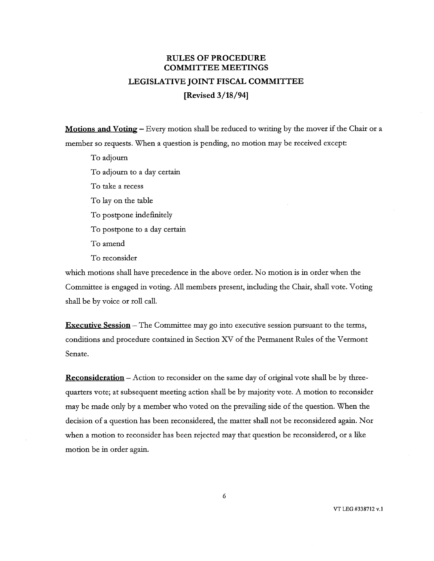# **RULES OF PROCEDURE COMMITTEE MEETINGS LEGISLATIVE JOINT FISCAL COMMITTEE [Revised 3/18/941**

**Motions and Voting —** Every motion shall be reduced to writing by the mover if the Chair or a member so requests. When a question is pending, no motion may be received except:

To adjourn To adjourn to a day certain To take a recess To lay on the table To postpone indefinitely To postpone to a day certain To amend To reconsider

which motions shall have precedence in the above order. No motion is in order when the Committee is engaged in voting. All members present, including the Chair, shall vote. Voting shall be by voice or roll call.

**Executive Session —** The Committee may go into executive session pursuant to the terms, conditions and procedure contained in Section XV of the Permanent Rules of the Vermont Senate.

**Reconsideration —** Action to reconsider on the same day of original vote shall be by threequarters vote; at subsequent meeting action shall be by majority vote. A motion to reconsider may be made only by a member who voted on the prevailing side of the question. When the decision of a question has been reconsidered, the matter shall not be reconsidered again. Nor when a motion to reconsider has been rejected may that question be reconsidered, or a like motion be in order again.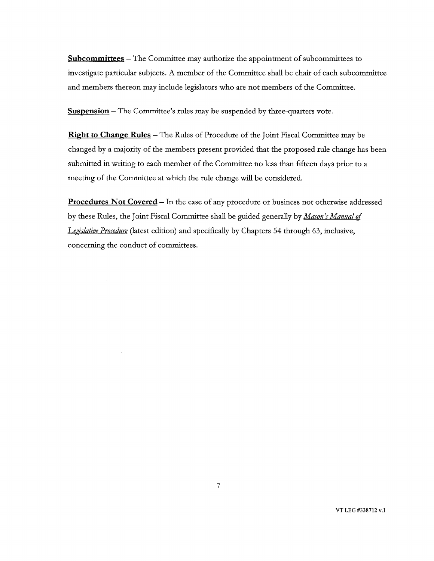**Subcommittees—** The Committee may authorize the appointment of subcommittees to investigate particular subjects. A member of the Committee shall be chair of each subcommittee and members thereon may include legislators who are not members of the Committee.

**Suspension** — The Committee's rules may be suspended by three-quarters vote.

**Right to Change Rules—** The Rules of Procedure of the Joint Fiscal Committee may be changed by a majority of the members present provided that the proposed rule change has been submitted in writing to each member of the Committee no less than fifteen days prior to a meeting of the Committee at which the rule change will be considered.

**Procedures Not Covered—** In the case of any procedure or business not otherwise addressed by these Rules, the Joint Fiscal Committee shall be guided generally by *Mason's Manual of Legislative Procedure* (latest edition) and specifically by Chapters 54 through 63, inclusive, concerning the conduct of committees.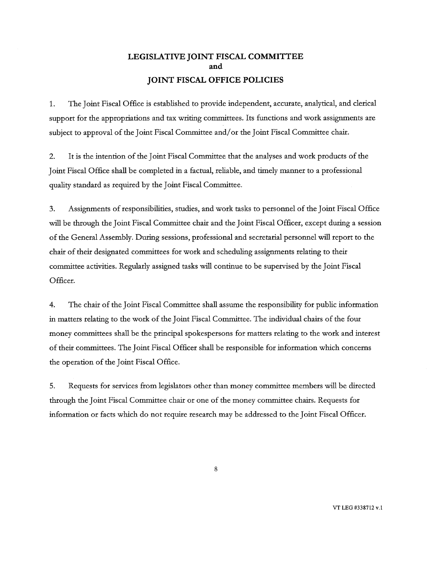# LEGISLATIVE JOINT FISCAL COMMITTEE and JOINT FISCAL OFFICE POLICIES

1. The Joint Fiscal Office is established to provide independent, accurate, analytical, and clerical support for the appropriations and tax writing committees. Its functions and work assignments are subject to approval of the Joint Fiscal Committee and/or the Joint Fiscal Committee chair.

2. It is the intention of the Joint Fiscal Committee that the analyses and work products of the Joint Fiscal Office shall be completed in a factual, reliable, and timely manner to a professional quality standard as required by the Joint Fiscal Committee.

3. Assignments of responsibilities, studies, and work tasks to personnel of the Joint Fiscal Office will be through the Joint Fiscal Committee chair and the Joint Fiscal Officer, except during a session of the General Assembly. During sessions, professional and secretarial personnel will report to the chair of their designated committees for work and scheduling assignments relating to their committee activities. Regularly assigned tasks will continue to be supervised by the Joint Fiscal Officer.

4. The chair of the Joint Fiscal Committee shall assume the responsibility for public information in matters relating to the work of the Joint Fiscal Committee. The individual chairs of the four money committees shall be the principal spokespersons for matters relating to the work and interest of their committees. The Joint Fiscal Officer shall be responsible for information which concerns the operation of the Joint Fiscal Office.

5. Requests for services from legislators other than money committee members will be directed through the Joint Fiscal Committee chair or one of the money committee chairs. Requests for information or facts which do not require research may be addressed to the Joint Fiscal Officer.

8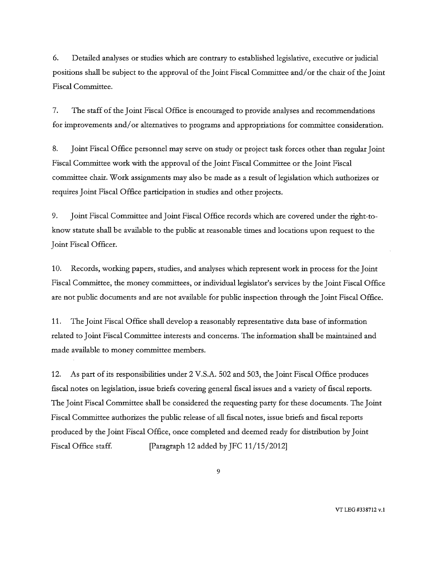6. Detailed analyses or studies which are contrary to established legislative, executive or judicial positions shall be subject to the approval of the Joint Fiscal Committee and/or the chair of the Joint Fiscal Committee.

7. The staff of the Joint Fiscal Office is encouraged to provide analyses and recommendations for improvements and/or alternatives to programs and appropriations for committee consideration.

8. Joint Fiscal Office personnel may serve on study or project task forces other than regular Joint Fiscal Committee work with the approval of the Joint Fiscal Committee or the Joint Fiscal committee chair. Work assignments may also be made as a result of legislation which authorizes or requires Joint Fiscal Office participation in studies and other projects.

9. Joint Fiscal Committee and Joint Fiscal Office records which are covered under the right-toknow statute shall be available to the public at reasonable times and locations upon request to the Joint Fiscal Officer.

10. Records, working papers, studies, and analyses which represent work in process for the Joint Fiscal Committee, the money committees, or individual legislator's services by the Joint Fiscal Office are not public documents and are not available for public inspection through the Joint Fiscal Office.

11. The Joint Fiscal Office shall develop a reasonably representative data base of information related to Joint Fiscal Committee interests and concerns. The information shall be maintained and made available to money committee members.

12. As part of its responsibilities under 2 V.S.A. 502 and 503, the Joint Fiscal Office produces fiscal notes on legislation, issue briefs covering general fiscal issues and a variety of fiscal reports. The Joint Fiscal Committee shall be considered the requesting party for these documents. The Joint Fiscal Committee authorizes the public release of all fiscal notes, issue briefs and fiscal reports produced by the Joint Fiscal Office, once completed and deemed ready for distribution by Joint Fiscal Office staff. [Paragraph 12 added by JFC 11/15/2012]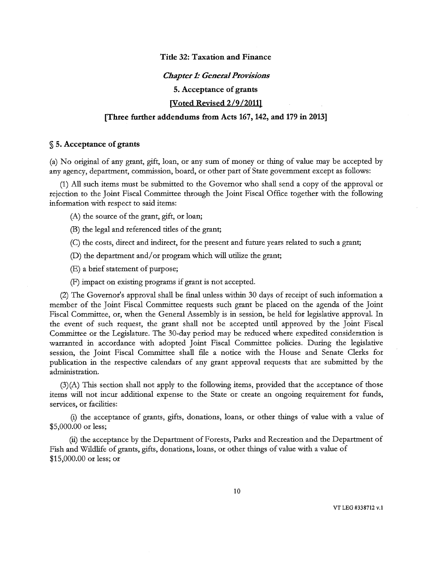#### Title 32: Taxation and Finance

#### *Chapter 1: General Provisions*

5. Acceptance of grants

[Voted Revised 2/9/20111

#### [Three further addendums from Acts 167, 142, and 179 in 2013]

#### § 5. Acceptance of grants

(a) No original of any grant, gift, loan, or any sum of money or thing of value may be accepted by any agency, department, commission, board, or other part of State government except as follows:

(1) All such items must be submitted to the Governor who shall send a copy of the approval or rejection to the Joint Fiscal Committee through the Joint Fiscal Office together with the following information with respect to said items:

(A) the source of the grant, gift, or loan;

(B) the legal and referenced titles of the grant;

(C) the costs, direct and indirect, for the present and future years related to such a grant;

 $(D)$  the department and/or program which will utilize the grant;

(E) a brief statement of purpose;

(F) impact on existing programs if grant is not accepted.

(2) The Governor's approval shall be final unless within 30 days of receipt of such information a member of the Joint Fiscal Committee requests such grant be placed on the agenda of the Joint Fiscal Committee, or, when the General Assembly is in session, be held for legislative approval. In the event of such request, the grant shall not be accepted until approved by the Joint Fiscal Committee or the Legislature. The 30-day period may be reduced where expedited consideration is warranted in accordance with adopted Joint Fiscal Committee policies. During the legislative session, the Joint Fiscal Committee shall file a notice with the House and Senate Clerks for publication in the respective calendars of any grant approval requests that are submitted by the administration.

(3)(A) This section shall not apply to the following items, provided that the acceptance of those items will not incur additional expense to the State or create an ongoing requirement for funds, services, or facilities:

(i) the acceptance of grants, gifts, donations, loans, or other things of value with a value of \$5,000.00 or less;

(ii) the acceptance by the Department of Forests, Parks and Recreation and the Department of Fish and Wildlife of grants, gifts, donations, loans, or other things of value with a value of \$15,000.00 or less; or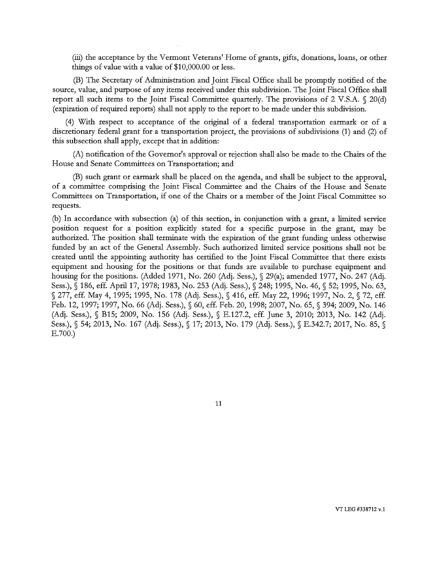(iii) the acceptance by the Vermont Veterans' Home of grants, gifts, donations, loans, or other things of value with a value of \$10,000.00 or less.

(B) The Secretary of Administration and Joint Fiscal Office shall be promptly notified of the source, value, and purpose of any items received under this subdivision. The Joint Fiscal Office shall report all such items to the Joint Fiscal Committee quarterly. The provisions of 2 V.S.A. § 20(d) (expiration of required reports) shall not apply to the report to be made under this subdivision.

(4) With respect to acceptance of the original of a federal transportation earmark or of a discretionary federal grant for a transportation project, the provisions of subdivisions (1) and (2) of this subsection shall apply, except that in addition:

(A) notification of the Governor's approval or rejection shall also be made to the Chairs of the House and Senate Committees on Transportation; and

(B) such grant or earmark shall be placed on the agenda, and shall be subject to the approval, of a committee comprising the Joint Fiscal Committee and the Chairs of the House and Senate Committees on Transportation, if one of the Chairs or a member of the Joint Fiscal Committee so requests.

(b) In accordance with subsection (a) of this section, in conjunction with a grant, a limited service position request for a position explicitly stated for a specific purpose in the grant, may be authorized. The position shall terminate with the expiration of the grant funding unless otherwise funded by an act of the General Assembly. Such authorized limited service positions shall not be created until the appointing authority has certified to the Joint Fiscal Committee that there exists equipment and housing for the positions or that funds are available to purchase equipment and housing for the positions. (Added 1971, No. 260 (Adj. Sess.), § 29(a); amended 1977, No. 247 (Adj. Sess.), § 186, eff. April 17, 1978; 1983, No. 253 (Adj. Sess.), § 248; 1995, No. 46, § 52; 1995, No. 63, § 277, eff. May 4, 1995; 1995, No. 178 (Adj. Sess.), § 416, eff. May 22, 1996; 1997, No. 2, § 72, eff. Feb. 12, 1997; 1997, No. 66 (Adj. Sess.), § 60, eff. Feb. 20, 1998; 2007, No. 65, § 394; 2009, No. 146 (Adj. Sess.), § B15; 2009, No. 156 (Adj. Sess.), § E.127.2, eft. June 3, 2010; 2013, No. 142 (Adj. Sess.), § 54; 2013, No. 167 (Adj. Sess.), § 17; 2013, No. 179 (Adj. Sess.), § E.342.7; 2017, No. 85, 5 E.700.)

11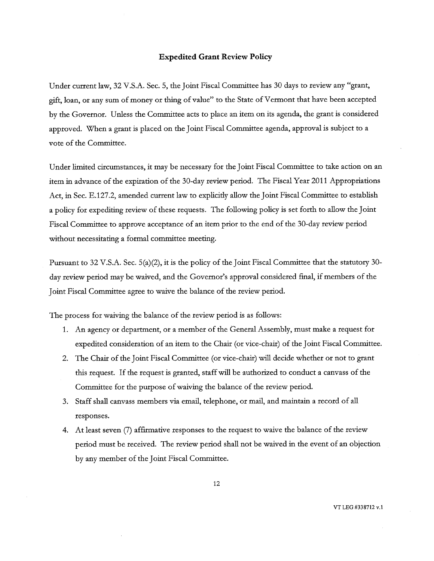#### **Expedited Grant Review Policy**

Under current law, 32 V.S.A. Sec. 5, the Joint Fiscal Committee has 30 days to review any "grant, gift, loan, or any sum of money or thing of value" to the State of Vermont that have been accepted by the Governor. Unless the Committee acts to place an item on its agenda, the grant is considered approved. When a grant is placed on the Joint Fiscal Committee agenda, approval is subject to a vote of the Committee.

Under limited circumstances, it may be necessary for the Joint Fiscal Committee to take action on an item in advance of the expiration of the 30-day review period. The Fiscal Year 2011 Appropriations Act, in Sec. E.127.2, amended current law to explicitly allow the Joint Fiscal Committee to establish a policy for expediting review of these requests. The following policy is set forth to allow the Joint Fiscal Committee to approve acceptance of an item prior to the end of the 30-day review period without necessitating a formal committee meeting.

Pursuant to 32 V.S.A. Sec. 5(a)(2), it is the policy of the Joint Fiscal Committee that the statutory 30 day review period may be waived, and the Governor's approval considered final, if members of the Joint Fiscal Committee agree to waive the balance of the review period.

The process for waiving the balance of the review period is as follows:

- 1. An agency or department, or a member of the General Assembly, must make a request for expedited consideration of an item to the Chair (or vice-chair) of the Joint Fiscal Committee.
- 2. The Chair of the Joint Fiscal Committee (or vice-chair) will decide whether or not to grant this request. If the request is granted, staff will be authorized to conduct a canvass of the Committee for the purpose of waiving the balance of the review period.
- 3. Staff shall canvass members via email, telephone, or mail, and maintain a record of all responses.
- 4. At least seven (7) affirmative responses to the request to waive the balance of the review period must be received. The review period shall not be waived in the event of an objection by any member of the Joint Fiscal Committee.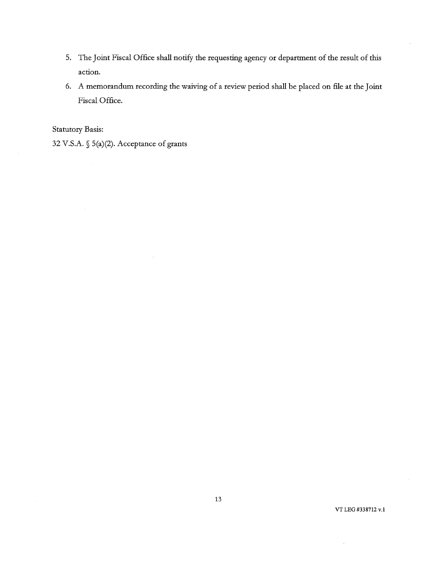- 5. The Joint Fiscal Office shall notify the requesting agency or department of the result of this action.
- 6. A memorandum recording the waiving of a review period shall be placed on file at the Joint Fiscal Office.

Statutory Basis:

32 V.S.A. § 5(a)(2). Acceptance of grants

VT LEG #338712 v.1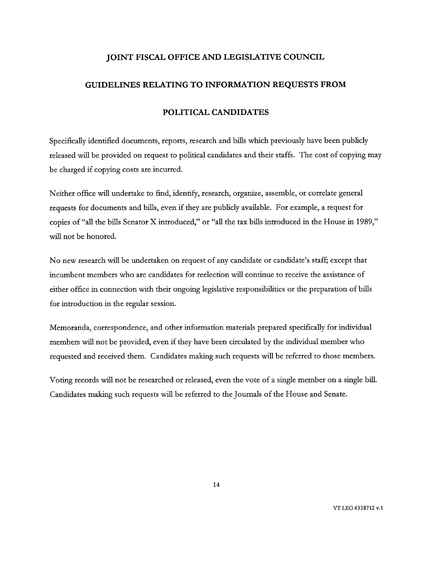#### **JOINT FISCAL OFFICE AND LEGISLATIVE COUNCIL**

#### **GUIDELINES RELATING TO INFORMATION REQUESTS FROM**

#### **POLITICAL CANDIDATES**

Specifically identified documents, reports, research and bills which previously have been publicly released will be provided on request to political candidates and their staffs. The cost of copying may be charged if copying costs are incurred.

Neither office will undertake to find; identify, research, organize, assemble, or correlate general requests for documents and bills, even if they are publicly available. For example, a request for copies of "all the bills Senator X introduced," or "all the tax bills introduced in the House in 1989," will not be honored.

No new research will be undertaken on request of any candidate or candidate's staff; except that incumbent members who are candidates for reelection will continue to receive the assistance of either office in connection with their ongoing legislative responsibilities or the preparation of bills for introduction in the regular session.

Memoranda, correspondence, and other information materials prepared specifically for individual members will not be provided, even if they have been circulated by the individual member who requested and received them. Candidates making such requests will be referred to those members.

Voting records will not be researched or released, even the vote of a single member on a single bill. Candidates making such requests will be referred to the Journals of the House and Senate.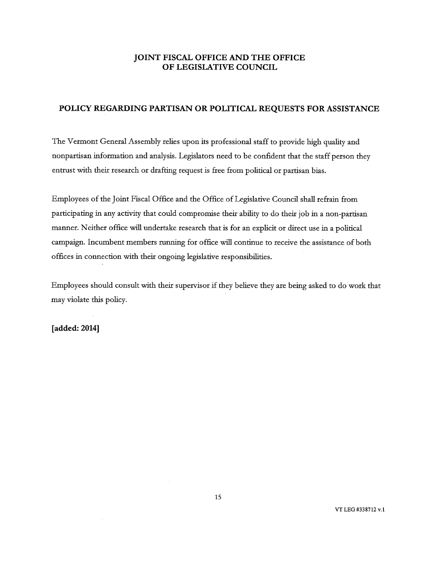## JOINT FISCAL OFFICE AND THE OFFICE OF LEGISLATIVE COUNCIL

## POLICY REGARDING PARTISAN OR POLITICAL REQUESTS FOR ASSISTANCE

The Vermont General Assembly relies upon its professional staff to provide high quality and nonpartisan information and analysis. Legislators need to be confident that the staff person they entrust with their research or drafting request is free from political or partisan bias.

Employees of the Joint Fiscal Office and the Office of Legislative Council shall refrain from participating in any activity that could compromise their ability to do their job in a non-partisan manner. Neither office will undertake research that is for an explicit or direct use in a political campaign. Incumbent members running for office will continue to receive the assistance of both offices in connection with their ongoing legislative responsibilities.

Employees should consult with their supervisor if they believe they are being asked to do work that may violate this policy.

[added: 2014]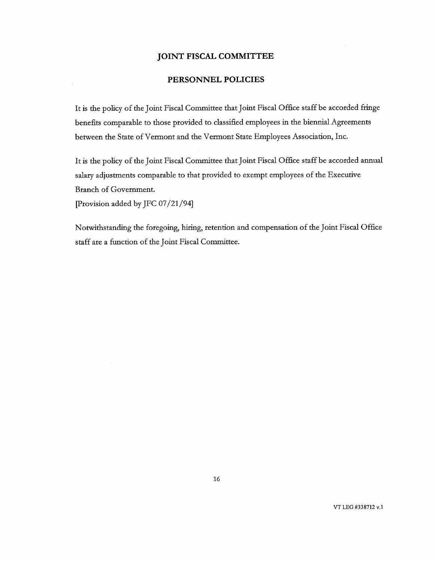#### **JOINT FISCAL COMMITTEE**

### **PERSONNEL POLICIES**

It is the policy of the Joint Fiscal Committee that Joint Fiscal Office staff be accorded fringe benefits comparable to those provided to classified employees in the biennial Agreements between the State of Vermont and the Vermont State Employees Association, Inc.

It is the policy of the Joint Fiscal Committee that Joint Fiscal Office staff be accorded annual salary adjustments comparable to that provided to exempt employees of the Executive Branch of Government.

[Provision added by JFC 07/21/94]

Notwithstanding the foregoing, hiring, retention and compensation of the Joint Fiscal Office staff are a function of the Joint Fiscal Committee.